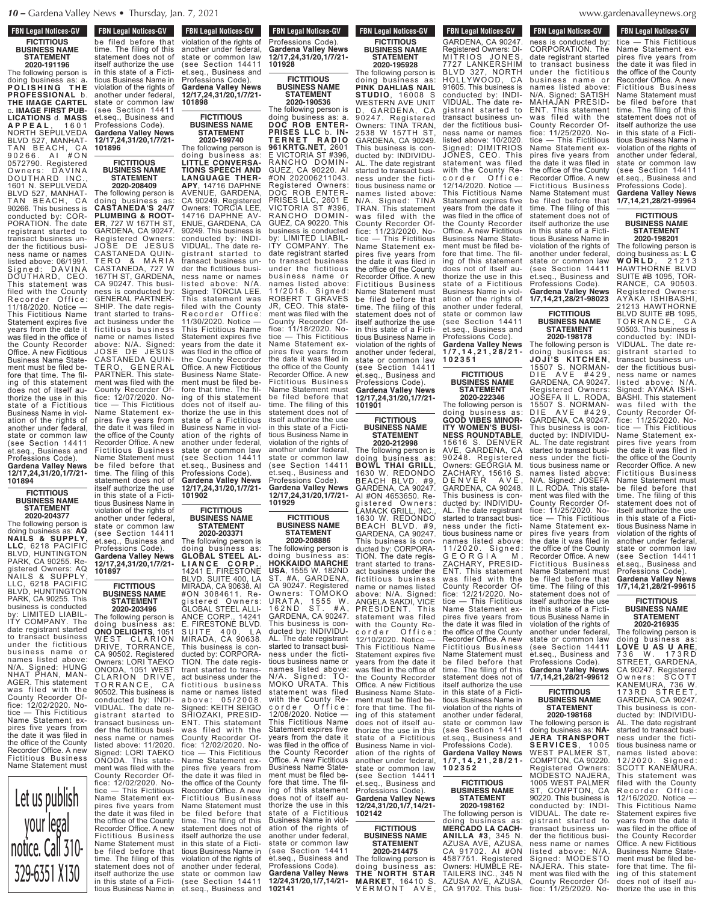# **FBN Legal Notices-GV FICTITIOUS BUSINESS NAME STATEMENT**

**2020-191196**

The following person is doing business as: a**. P O L I S H I N G T H E PROFESSIONAL** b. **THE IMAGE CARTEL** c**. IMAGE FIRST PUB-LICATIONS** d. **MASS A P P E A L** , 1 6 0 1 NORTH SEPULVEDA BLVD 527, MANHAT-TAN BEACH, CA 9 0 2 6 6 . A I # O N 0572790. Registered Owners: DAVINA DOUTHARD INC., 1601 N. SEPULVEDA BLVD 527, MANHAT-BEACH, CA 90266. This business is conducted by: COR-PORATION. The date registrant started to transact business under the fictitious business name or names listed above: 06/1991.<br>Signed: DAVINA Signed: DAVINA DOUTHARD, CEO. This statement was filed with the County Recorder Office 11/18/2020. Notice — This Fictitious Name Statement expires five years from the date it was filed in the office of the County Recorder Office. A new Fictitious Business Name Statement must be filed before that time. The filing of this statement does not of itself authorize the use in this state of a Fictitious Business Name in violation of the rights of another under federal, state or common law (see Section 14411 et.seq., Business and Professions Code).

**Gardena Valley News 12/17,24,31/20,1/7/21- 101894**

#### **FICTITIOUS BUSINESS NAME STATEMENT 2020-204377**

The following person is doing business as: **AQ NAILS & SUPPLY, LLC**, 6218 PACIFIC BLVD, HUNTINGTON PARK, CA 90255. Registered Owners: AQ NAILS & SUPPLY, LLC, 6218 PACIFIC BLVD, HUNTINGTON PARK, CA 90255. This business is conducted by: LIMITED LIABIL-ITY COMPANY. The date registrant started to transact business under the fictitious anson the names listed above: N/A. Signed: HUNG NHAT PHAN, MAN-AGER. This statement was filed with the County Recorder Office: 12/02/2020. Notice — This Fictitious Name Statement expires five years from the date it was filed in the office of the County Recorder Office. A new Fictitious Business Name Statement must



Professions Code). **FBN Legal Notices-GV TEN LEGAL NULLES-GV** be filed before that time. The filing of this statement does not of itself authorize the use in this state of a Fictitious Business Name in violation of the rights of another under federal, state or common law (see Section 14411 et.seq., Business and Professions Code). **Gardena Valley News 12/17,24,31/20,1/7/21- 101896**

### **FICTITIOUS BUSINESS NAME STATEMENT 2020-208409**

**APY**, 14716 DAPHNE AVENUE, GARDENA, CA 90249. Registered Owners: TORCIA LEE, 14716 DAPHNE AV-ENUE, GARDENA, CA 90249. This business conducted by: INDI-VIDUAL. The date registrant started to transact business under the fictitious business name or names listed above: N/A. Signed: TORCIA LEE. This statement was filed with the County Recorder Office: 11/30/2020. Notice — This Fictitious Name Statement expires five years from the date it was filed in the office of the County Recorder Office. A new Fictitious Business Name Statement must be filed before that time. The filing of this statement does not of itself authorize the use in this state of a Fictitious Business Name in violation of the rights of another under federal, state or common law (see Section 14411 et.seq., Business and Professions Code). **Gardena Valley News 12/17,24,31/20,1/7/21- 101902 BUSINESS NAME** The following person is doing business as: **CASTANEDA'S 24/7 PLUMBING & ROOT-ER**, 727 W 167TH ST, GARDENA, CA 90247. Registered Owners: JOSE DE JESUS CASTANEDA QUIN-TERO & MARIA CASTANEDA, 727 W 167TH ST, GARDENA, CA 90247. This business is conducted by: GENERAL PARTNER-. The date registrant started to transact business under the fictitious business name or names listed above: N/A. Signed: JOSE DE JESUS CASTANEDA QUIN-TERO, GENERAL PARTNER. This statement was filed with the County Recorder Office: 12/07/2020. Notice — This Fictitious Name Statement expires five years from the date it was filed in the office of the County Recorder Office. A new Fictitious Business Name Statement must be filed before that time. The filing of this statement does not of itself authorize the use in this state of a Fictitious Business Name in violation of the rights of

another under federal, state or common law (see Section 14411 et.seq., Business and Professions Code). **Gardena Valley News 12/17,24,31/20,1/7/21- 101897**

> **FICTITIOUS BUSINESS NAME STATEMENT 2020-203496**

ANCE CORP., 14241 E. FIRESTONE BLVD. SUITE 400, LA MIRADA, CA 90638. This business is conducted by: CORPORA-TION. The date registrant started to transact business under the<br>fictitious business name or names listed a b o v e : 0 5 / 2 0 0 8 . Signed: KEITH SEIGO SHIOZAKI, PRESID-ENT. This statement was filed with the County Recorder Office: 12/02/2020. No-<br>tice — This Fictitious Name Statement expires five years from the date it was filed in the office of the County Recorder Office. A new Fictitious Business Name Statement must be filed before that time. The filing of this statement does not of itself authorize the use in this state of a Fictitious Business Name in violation of the rights of another under federal, state or common law (see Section 14411 The following person is doing business as: **ONO DELIGHTS**, 1051 WEST CLARION DRIVE, TORRANCE, CA 90502. Registered Owners: LORI TAEKO ONODA, 1051 WEST CLARION DRIVE, ORRANCE, CA 90502. This business is conducted by: INDI-VIDUAL. The date registrant started to gistrant started to<br>transact business under the fictitious business name or names listed above: 11/2020. Signed: LORI TAEKO ONODA. This statement was filed with the County Recorder Of-fice: 12/02/2020. Notice — This Fictitious Name Statement expires five years from the date it was filed in the office of the County Recorder Office. A new Fictitious Business Name Statement must be filed before that time. The filing of this statement does not of itself authorize the use in this state of a Ficti-

tious Business Name in

**FBN Legal Notices-GV EXAGE ENDINE CONCRETE AND THE STATE** Professions Code). **Gardena Valley News 12/17,24,31/20,1/7/21- 101928 FBN Legal Notices-GV TEN LEGAL NULLES-CIV** violation of the rights of another under federal, state or common law (see Section 14411 et.seq., Business and

**Gardena Valley News 12/17,24,31/20,1/7/21-**

**FICTITIOUS BUSINESS NAME STATEMENT 2020-199740** The following person is doing business as: **LITTLE CONVERSA-TIONS SPEECH AND LANGUAGE THER-**

**101898**

**FICTITIOUS BUSINESS NAME STATEMENT 2020-190536**

**12/17,24,31/20,1/7/21- 101901** The following person is doing business as: a. **DOC ROB ENTER-PRISES LLC** b. **IN-T E R N E T R A D I O 961KRTG.NET**, 2601 E VICTORIA ST #396, RANCHO DOMIN-GUEZ, CA 90220. AI #ON 202006211043. Registered Owners: DOC ROB ENTER-PRISES LLC, 2601 E VICTORIA ST #396, RANCHO DOMIN-GUEZ, CA 90220. This business is conducted by: LIMITED LIABIL-ITY COMPANY. The date registrant started to transact business under the fictitious business name or names listed above: 11/2018. Signed: ROBERT T GRAVES JR, CEO. This statement was filed with the County Recorder Office: 11/18/2020. Notice — This Fictitious Name Statement expires five years from the date it was filed in the office of the County Recorder Office. A new Fictitious Business Name Statement must be filed before that time. The filing of this statement does not of itself authorize the use in this state of a Fictitious Business Name in violation of the rights of another under federal, state or common law (see Section 14411 et.seq., Business and Professions Code). **Gardena Valley News 12/17,24,31/20,1/7/21-**

**FICTITIOUS BUSINESS NAME STATEMENT 2020-208886**

**101929**

**FICTITIOUS**

**STATEMENT 2020-203371**

The following person is<br>doing business as: doing business as: **HOKKAIDO MARCHE USA**, 1555 W. 182ND ST. #A, GARDENA, CA 90247. Registered Owners: TOMOKO URATA, 1555 W. 162 ND ST. #A, GARDENA, CA 90247. This business is conducted by: INDIVIDU-AL. The date registrant started to transact business under the fictitious business name or names listed above: N/A. Signed: TO-MOKO URATA. This statement was filed with the County Recorder Office: corder Offic<br>12/08/2020.Notice This Fictitious Name Statement expires five years from the date it was filed in the office of the County Recorder Office. A new Fictitious Business Name Statement must be filed be fore that time. The filing of this statement does not of itself authorize the use in this state of a Fictitious Business Name in violation of the rights of another under federal, state or common law (see Section 14411 et.seg., Business and Professions Code). **Gardena Valley News 12/24,31/20,1/7,14/21-** The following person is doing business as: **GLOBAL STEEL AL-L I A N C E C O R P .** , 14241 E. FIRESTONE BLVD. SUITE 400, LA MIRADA, CA 90638. AI #ON 3084611. Re-<br>gistered Owners: gistered Owners: GLOBAL STEEL ALLIbusiness - This Fictitious

**102141**

et.seq., Business and

# **FBN Legal Notices-GV FICTITIOUS BUSINESS NAME STATEMENT 2020-195928** The following person is

**1 0 2 3 5 1** doing business as: **PINK DAHLIAS NAIL STUDIO**, 16008 S WESTERN AVE UNIT D, GARDENA, CA 90247. Registered Owners: TINA TRAN, 2538 W 157TH ST, GARDENA, CA 90249. This business is conducted by: INDIVIDU-AL. The date registrant started to transact business under the fictitious business name or names listed above: N/A. Signed: TINA TRAN. This statement was filed with the County Recorder Office: 11/23/2020. Notice — This Fictitious Name Statement expires five years from the date it was filed in the office of the County Recorder Office. A new Fictitious Business Name Statement must be filed before that time. The filing of this statement does not of itself authorize the use in this state of a Fictitious Business Name in violation of the rights of another under federal, state or common law (see Section 14411 et.seq., Business and Professions Code). **Gardena Valley News**

**FICTITIOUS BUSINESS NAME**

time. The filing of this statement does not of itself authorize the in this state of a Fictitious Business Name in violation of the rights of another under federal (see Section 14411 Professions Code). **1 0 2 3 5 2** with the County Recorder Office: 12/10/2020. Notice — This Fictitious Name Statement expires five years from the date it was filed in the office of the County Recorder Office. A new Fictitious Business Name Statement must be filed before that time. The filing of this statement does not of itself authorize the use in this state of a Fictitious Business Name in violation of the rights of another under federal, state or common law (see Section 14411 et.seq., Business and Professions Code). **Gardena Valley News 12/24,31/20,1/7,14/21- 102142**

**FICTITIOUS BUSINESS NAME STATEMENT 2020-214475**

The following person is doing business as: **THE NORTH STAR MARKET**, 16410 S. V E R M O N T A V E ,

denavalleynews.org  $arame function$ WWW.9  $\ldots$   $\ldots$   $\ldots$ 

**FBN Legal Notices-GV CA 91702. This busi-called** ness is conducted by: CORPORATION. The date registrant started to transact business under the fictitious business name or names listed above: N/A. Signed: SATISH MAHAJAN PRESID-ENT. This statement was filed with the County Recorder Office: 11/25/2020. Notice — This Fictitious Name Statement expires five years from the date it was filed in the office of the County Recorder Office. A new Fictitious Business Name Statement must be filed before that time. The filing of this statement does not of itself authorize the use in this state of a Fictitious Business Name in violation of the rights of another under federal, state or common law (see Section 14411 et.seq., Business and Professions Code). **Gardena Valley News 1/7,14,21,28/21-98023 FBN Legal Notices-GV FON LEGAL NUMBER OF** GARDENA, CA 90247. Registered Owners: DI-MITRIOS JONES, 7727 LANKERSHIM BLVD 327, NORTH HOL LYWOOD, CA 91605. This business is conducted by: INDI-VIDUAL. The date registrant started to transact business under the fictitious business name or names listed above: 10/2020. Signed: DIMITRIOS JONES, CEO. This statement was filed with the County Recorder Office: 12/14/2020. Notice — This Fictitious Name Statement expires five years from the date it was filed in the office of the County Recorder Office. A new Fictitious Business Name Statement must be filed before that time. The filing of this statement does not of itself authorize the use in this state of a Fictitious Business Name in violation of the rights of another under federal,

#### **FICTITIOUS BUSINESS NAME STATEMENT 2020-198178**

state or common law (see Section 14411 et.seq., Business and Professions Code).

**FICTITIOUS BUSINESS NAME STATEMENT 2020-222346**

**FICTITIOUS BUSINESS NAME STATEMENT 2020-198162**

The following person is doing business as: **JOJ I 'S K I T C H E N** , 15507 S. NORMAN-D I E A V E #429, GARDENA, CA 90247. Registered Owners: JOSEFA II L. RODA, 15507 S. NORMAN-D I E A V E #429, GARDENA, CA 90247. This business is conducted by: INDIVIDU-AL. The date registrant started to transact business under the fictitious business name or names listed above: N/A. Signed: JOSEFA II L. RODA. This statement was filed with the County Recorder Office: 11/25/2020. Notice — This Fictitious Name Statement expires five years from the date it was filed in the office of the County Recorder Office. A new Fictitious Business Name Statement must be filed before that time. The filing of this statement does not of itself authorize the use in this state of a Fictitious Business Name in violation of the rights of another under federal, state or common law (see Section 14411 et.seq., Business and Professions Code). **Gardena Valley News 1 / 7 , 1 4 , 2 1 , 2 8 / 2 1 -** The following person is doing business as: **GOOD VIBES MINOR-ITY WOMEN'S BUSI-NESS ROUNDTABLE**, the date it was filed in the office of the County Recorder Office. A new Fictitious Business Name Statement must be filed before that

**Gardena Valley News 1/7,14,21,28/21-99612 FICTITIOUS**

# **BUSINESS NAME STATEMENT 2020-198168**

The following person is doing business as: **NA-JERA TRANSPORT S E R V I C E S** , 1 0 0 5 WEST PALMER ST, COMPTON, CA 90220. Registered Owners: MODESTO NAJERA, 1005 WEST PALMER ST, COMPTON, CA 90220. This business is conducted by: INDI-VIDUAL. The date registrant started to transact business under the fictitious business name or names listed above: N/A. Signed: MODESTO NAJERA. This statement was filed with the County Recorder Office: 11/25/2020. Nostate or common law et.seq., Business and **Gardena Valley News 1 / 7 , 1 4 , 2 1 , 2 8 / 2 1 -** The following person is doing business as: **MERCADO LA CACH-ANILLA #3**, 345 N. AZUSA AVE, AZUSA, CA 91702. AI #ON 4587751. Registered Owners: HUMBLE RE-TAILERS INC., 345 N AZUSA AVE, AZUSA, CA 91702. This busi-

**FBN Legal Notices-GV** FIN LEYAL NULLES-UV tice — This Fictitious Name Statement expires five years from the date it was filed in the office of the County Recorder Office. A new Fictitious Business Name Statement must<br>be filed before that be filed before time. The filing of this statement does not of itself authorize the use in this state of a Fictitious Business Name in violation of the rights of another under federal, state or common law (see Section 14411 et.seq., Business and Professions Code). **Gardena Valley News**

**1/7,14,21,28/21-99964**

#### **FICTITIOUS BUSINESS NAME STATEMENT 2020-198201**

The following person is doing business as: **L C W O R L D** , 2 1 2 1 3 HAWTHORNE BLVD SUITE #B 1095, TOR-RANCE, CA 90503. Registered Owners: AYAKA ISHIBASHI, 21213 HAWTHORNE BLVD SUITE #B 1095,<br>TORRANCE, CA TORRANCE, 90503. This business is conducted by: INDI-VIDUAL. The date registrant started to transact business under the fictitious business name or names listed above: N/A. Signed: AYAKA ISHI-BASHI. This statement was filed with the County Recorder Office: 11/25/2020. Notice — This Fictitious Name Statement expires five years from the date it was filed in the office of the County Recorder Office. A new Fictitious Business Name Statement must be filed before that time. The filing of this statement does not of itself authorize the use in this state of a Fictitious Business Name in violation of the rights of another under federal, state or common law (see Section 14411 et.seq., Business and Professions Code). **Gardena Valley News**

**1/7,14,21,28/21-99615 FICTITIOUS**

#### **BUSINESS NAME STATEMENT 2020-216935**

The following person is doing business as: **LOVE U AS U ARE**, 7 3 6 W . 1 7 3 R D STREET, GARDENA, CA 90247. Registered Owners: SCOTT KANEMURA, 736 W. 173RD STREET, GARDENA, CA 90247. This business is conducted by: INDIVIDU-AL. The date registrant started to transact business under the fictitious business name or names listed above: 12/2020. Signed: SCOTT KANEMURA. This statement was filed with the County<br>Recorder Office: med min inc 12/16/2020. Notice — This Fictitious Name Statement expires five years from the date it was filed in the office of the County Recorder Office. A new Fictitious Business Name Statement must be filed before that time. The filing of this statement does not of itself authorize the use in this

#### 15616 S. DENVER AVE, GARDENA, CA 90248. Registered Owners: GEORGIA M. ZACHARY, 15616 S.<br>DENVER AVE, D E N V E RA V E , GARDENA, CA 90248. This business is conducted by: INDIVIDU-AL. The date registrant started to transact business under the fictitious business name or names listed above: 11/2020. Signed: G E O R G I A M . ZACHARY, PRESID-ENT. This statement was filed with the County Recorder Office: 12/21/2020. Notice — This Fictitious Name Statement expires five years from **STATEMENT 2020-212998** The following person is doing business as: **BOWL THAI GRILL**, 1630 W. REDONDO BEACH BLVD. #9, GARDENA, CA 90247. AI #ON 4653650. Reen stered Owners:<br>gistered Owners:<br>LAMACK GRILL, INC. LAMACK GRILL, INC., 1630 W. REDONDO BEACH BLVD. #9, GARDENA, CA 90247. This business is conducted by: CORPORA-TION. The date registrant started to transact business under the fictitious business name or names listed above: N/A. Signed: ANGELA SAKDI, VICE PRESIDENT. This statement was filed